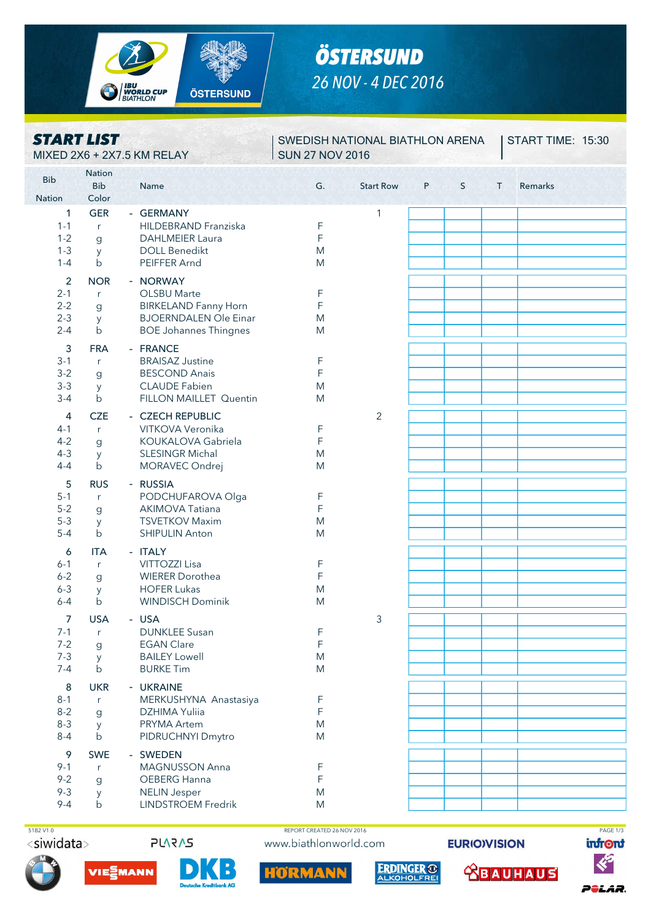

# *ÖSTERSUND 26 NOV - 4 DEC 2016*

### *START LIST* MIXED 2X6 + 2X7.5 KM RELAY SUN 27 NOV 2016

## SWEDISH NATIONAL BIATHLON ARENA

**START TIME: 15:30** 

| <b>Bib</b>         | <b>Nation</b>       |                                                             |             |                  |   |   |   |                                     |
|--------------------|---------------------|-------------------------------------------------------------|-------------|------------------|---|---|---|-------------------------------------|
| <b>Nation</b>      | <b>Bib</b><br>Color | Name<br>i nga ngangangangangan ng mga                       | G.          | <b>Start Row</b> | P | S | T | Remarks<br><b>PERSONAL PROPERTY</b> |
| 1                  | <b>GER</b>          | - GERMANY                                                   |             | 1                |   |   |   |                                     |
| $1 - 1$            | r                   | HILDEBRAND Franziska                                        | F           |                  |   |   |   |                                     |
| $1 - 2$            | g                   | <b>DAHLMEIER Laura</b>                                      | F           |                  |   |   |   |                                     |
| $1 - 3$            | y                   | <b>DOLL Benedikt</b>                                        | M           |                  |   |   |   |                                     |
| $1 - 4$            | $\mathsf{b}$        | PEIFFER Arnd                                                | M           |                  |   |   |   |                                     |
|                    |                     |                                                             |             |                  |   |   |   |                                     |
| $\overline{2}$     | <b>NOR</b>          | - NORWAY                                                    |             |                  |   |   |   |                                     |
| $2 - 1$            | r                   | <b>OLSBU Marte</b>                                          | F           |                  |   |   |   |                                     |
| $2 - 2$<br>$2 - 3$ | g                   | <b>BIRKELAND Fanny Horn</b><br><b>BJOERNDALEN Ole Einar</b> | F<br>M      |                  |   |   |   |                                     |
| $2 - 4$            | y<br>$\mathsf b$    | <b>BOE Johannes Thingnes</b>                                | M           |                  |   |   |   |                                     |
|                    |                     |                                                             |             |                  |   |   |   |                                     |
| 3                  | <b>FRA</b>          | - FRANCE                                                    |             |                  |   |   |   |                                     |
| $3 - 1$            | r                   | <b>BRAISAZ Justine</b>                                      | F           |                  |   |   |   |                                     |
| $3-2$              | g                   | <b>BESCOND Anais</b>                                        | F           |                  |   |   |   |                                     |
| $3 - 3$            | y                   | <b>CLAUDE Fabien</b>                                        | M           |                  |   |   |   |                                     |
| $3 - 4$            | $\mathsf{b}$        | FILLON MAILLET Quentin                                      | M           |                  |   |   |   |                                     |
| 4                  | <b>CZE</b>          | - CZECH REPUBLIC                                            |             | $\overline{2}$   |   |   |   |                                     |
| $4 - 1$            | r                   | VITKOVA Veronika                                            | F           |                  |   |   |   |                                     |
| $4 - 2$            | g                   | KOUKALOVA Gabriela                                          | $\mathsf F$ |                  |   |   |   |                                     |
| $4 - 3$            | y                   | <b>SLESINGR Michal</b>                                      | M           |                  |   |   |   |                                     |
| $4 - 4$            | b                   | MORAVEC Ondrej                                              | M           |                  |   |   |   |                                     |
| 5                  | <b>RUS</b>          | - RUSSIA                                                    |             |                  |   |   |   |                                     |
| $5 - 1$            | r                   | PODCHUFAROVA Olga                                           | F           |                  |   |   |   |                                     |
| $5-2$              | g                   | <b>AKIMOVA Tatiana</b>                                      | F           |                  |   |   |   |                                     |
| $5 - 3$            | y                   | <b>TSVETKOV Maxim</b>                                       | M           |                  |   |   |   |                                     |
| $5 - 4$            | b                   | <b>SHIPULIN Anton</b>                                       | M           |                  |   |   |   |                                     |
| 6                  | <b>ITA</b>          | - ITALY                                                     |             |                  |   |   |   |                                     |
| $6 - 1$            | r                   | VITTOZZI Lisa                                               | F           |                  |   |   |   |                                     |
| $6 - 2$            | g                   | <b>WIERER Dorothea</b>                                      | F           |                  |   |   |   |                                     |
| $6 - 3$            | y                   | <b>HOFER Lukas</b>                                          | M           |                  |   |   |   |                                     |
| $6 - 4$            | $\mathsf{b}$        | <b>WINDISCH Dominik</b>                                     | M           |                  |   |   |   |                                     |
| 7                  | <b>USA</b>          | - USA                                                       |             | 3                |   |   |   |                                     |
| $7 - 1$            | r                   | <b>DUNKLEE Susan</b>                                        | F           |                  |   |   |   |                                     |
| $7 - 2$            | $\mathsf g$         | <b>EGAN Clare</b>                                           | $\mathsf F$ |                  |   |   |   |                                     |
| $7 - 3$            | y                   | <b>BAILEY Lowell</b>                                        | M           |                  |   |   |   |                                     |
| $7 - 4$            | $\mathsf b$         | <b>BURKE Tim</b>                                            | M           |                  |   |   |   |                                     |
|                    |                     |                                                             |             |                  |   |   |   |                                     |
| 8                  | <b>UKR</b>          | - UKRAINE                                                   |             |                  |   |   |   |                                     |
| $8 - 1$<br>$8 - 2$ | r.                  | MERKUSHYNA Anastasiya<br>DZHIMA Yuliia                      | F<br>F      |                  |   |   |   |                                     |
| $8 - 3$            | g<br>y              | PRYMA Artem                                                 | ${\sf M}$   |                  |   |   |   |                                     |
| $8 - 4$            | b                   | PIDRUCHNYI Dmytro                                           | M           |                  |   |   |   |                                     |
|                    |                     |                                                             |             |                  |   |   |   |                                     |
| 9                  | <b>SWE</b>          | - SWEDEN                                                    |             |                  |   |   |   |                                     |
| $9 - 1$            | r                   | MAGNUSSON Anna                                              | F           |                  |   |   |   |                                     |
| $9 - 2$            | $\mathbf{g}$        | OEBERG Hanna                                                | F           |                  |   |   |   |                                     |
| $9 - 3$<br>$9 - 4$ | y<br>$\mathsf b$    | <b>NELIN Jesper</b><br><b>LINDSTROEM Fredrik</b>            | M           |                  |   |   |   |                                     |
|                    |                     |                                                             | M           |                  |   |   |   |                                     |

<siwidata>



 $\ddot{\phantom{a}}$ 



HÖRMAN

**ERDINGER ® ABAUHAUS** 

**EURIO)VISION** 

infront



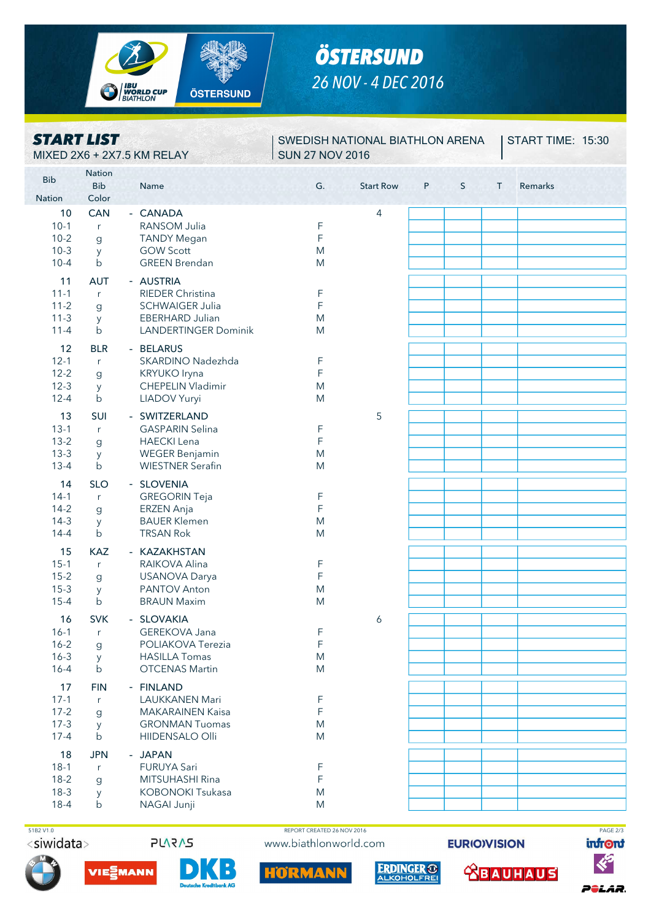

# *ÖSTERSUND 26 NOV - 4 DEC 2016*

### *START LIST* MIXED 2X6 + 2X7.5 KM RELAY SUN 27 NOV 2016

SWEDISH NATIONAL BIATHLON ARENA

**START TIME: 15:30** 

| <b>Bib</b>                                         | <b>Nation</b><br><b>Bib</b>                          | Name<br><u> 1798 Med Med Med Med Med Mar</u>                                                                            | G.                         | <b>Start Row</b> | P<br>S | T | Remarks<br>entre nero de |
|----------------------------------------------------|------------------------------------------------------|-------------------------------------------------------------------------------------------------------------------------|----------------------------|------------------|--------|---|--------------------------|
| <b>Nation</b>                                      | Color                                                |                                                                                                                         |                            |                  |        |   |                          |
| 10<br>$10-1$<br>$10-2$<br>$10-3$<br>$10 - 4$       | <b>CAN</b><br>r<br>$\mathsf g$<br>y<br>$\mathsf{b}$  | - CANADA<br>RANSOM Julia<br><b>TANDY Megan</b><br><b>GOW Scott</b><br><b>GREEN Brendan</b>                              | F<br>F<br>M<br>M           | $\overline{4}$   |        |   |                          |
| 11<br>$11 - 1$<br>$11 - 2$<br>$11-3$<br>$11 - 4$   | <b>AUT</b><br>r<br>$\mathsf{g}$<br>y<br>$\mathsf{b}$ | - AUSTRIA<br><b>RIEDER Christina</b><br><b>SCHWAIGER Julia</b><br><b>EBERHARD Julian</b><br><b>LANDERTINGER Dominik</b> | F<br>F<br>M<br>M           |                  |        |   |                          |
| 12<br>$12 - 1$<br>$12 - 2$<br>$12-3$<br>$12 - 4$   | <b>BLR</b><br>r<br>$\mathsf g$<br>У<br>$\mathsf{b}$  | - BELARUS<br>SKARDINO Nadezhda<br>KRYUKO Iryna<br><b>CHEPELIN Vladimir</b><br>LIADOV Yuryi                              | F<br>F<br>M<br>M           |                  |        |   |                          |
| 13<br>$13 - 1$<br>$13-2$<br>$13 - 3$<br>$13 - 4$   | SUI<br>r<br>$\mathsf g$<br>y<br>$\mathsf{b}$         | - SWITZERLAND<br><b>GASPARIN Selina</b><br><b>HAECKI</b> Lena<br><b>WEGER Benjamin</b><br><b>WIESTNER Serafin</b>       | F<br>F<br>M<br>M           | 5                |        |   |                          |
| 14<br>$14-1$<br>$14-2$<br>$14-3$<br>$14 - 4$       | <b>SLO</b><br>r<br>$\mathsf{g}$<br>y<br>$\mathsf{b}$ | - SLOVENIA<br><b>GREGORIN Teja</b><br>ERZEN Anja<br><b>BAUER Klemen</b><br><b>TRSAN Rok</b>                             | F<br>F<br>M<br>M           |                  |        |   |                          |
| 15<br>$15-1$<br>$15 - 2$<br>$15-3$<br>$15 - 4$     | <b>KAZ</b><br>r<br>$\mathsf g$<br>y<br>$\mathsf{b}$  | - KAZAKHSTAN<br>RAIKOVA Alina<br><b>USANOVA Darya</b><br>PANTOV Anton<br><b>BRAUN Maxim</b>                             | F<br>F<br>M<br>M           |                  |        |   |                          |
| 16<br>$16 - 1$<br>$16 - 2$<br>$16 - 3$<br>$16 - 4$ | <b>SVK</b><br>r<br>$\mathbf{g}$<br>y<br>$\mathsf b$  | - SLOVAKIA<br>GEREKOVA Jana<br>POLIAKOVA Terezia<br><b>HASILLA Tomas</b><br><b>OTCENAS Martin</b>                       | F<br>F<br>M<br>M           | 6                |        |   |                          |
| 17<br>$17-1$<br>$17 - 2$<br>$17-3$<br>$17 - 4$     | <b>FIN</b><br>r<br>$\mathsf g$<br>y<br>$\mathsf{b}$  | - FINLAND<br><b>LAUKKANEN Mari</b><br><b>MAKARAINEN Kaisa</b><br><b>GRONMAN Tuomas</b><br>HIIDENSALO Olli               | F<br>$\mathsf F$<br>M<br>M |                  |        |   |                          |
| 18<br>$18-1$<br>$18-2$<br>$18-3$<br>$18-4$         | <b>JPN</b><br>r<br>$\mathsf{g}$<br>y<br>$\mathsf{b}$ | - JAPAN<br><b>FURUYA Sari</b><br>MITSUHASHI Rina<br><b>KOBONOKI Tsukasa</b><br>NAGAI Junji                              | F<br>F<br>M<br>M           |                  |        |   |                          |

<siwidata>



 $\ddot{\phantom{a}}$ 

 51B2 V1.0 REPORT CREATED 26 NOV 2016 PAGE 2/3www.biathlonworld.com

HÖRMAN

**ERDINGER ®** 

**EURIO)VISION** 

**<u> CBAUHAUS</u>**